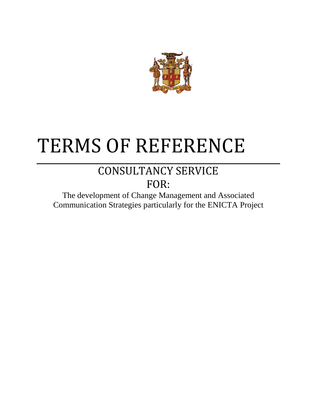

# TERMS OF REFERENCE

## CONSULTANCY SERVICE FOR:

The development of Change Management and Associated Communication Strategies particularly for the ENICTA Project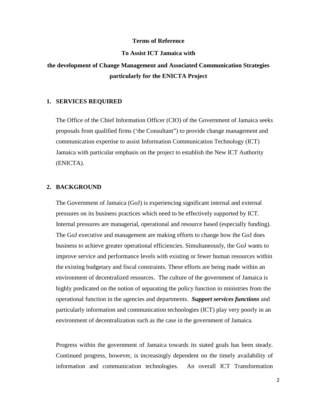#### **Terms of Reference**

#### **To Assist ICT Jamaica with**

### **the development of Change Management and Associated Communication Strategies particularly for the ENICTA Project**

#### **1. SERVICES REQUIRED**

The Office of the Chief Information Officer (CIO) of the Government of Jamaica seeks proposals from qualified firms ('the Consultant") to provide change management and communication expertise to assist Information Communication Technology (ICT) Jamaica with particular emphasis on the project to establish the New ICT Authority (ENICTA).

#### **2. BACKGROUND**

The Government of Jamaica (GoJ) is experiencing significant internal and external pressures on its business practices which need to be effectively supported by ICT. Internal pressures are managerial, operational and resource based (especially funding). The GoJ executive and management are making efforts to change how the GoJ does business to achieve greater operational efficiencies. Simultaneously, the GoJ wants to improve service and performance levels with existing or fewer human resources within the existing budgetary and fiscal constraints. These efforts are being made within an environment of decentralized resources. The culture of the government of Jamaica is highly predicated on the notion of separating the policy function in ministries from the operational function in the agencies and departments. *Support services functions* and particularly information and communication technologies (ICT) play very poorly in an environment of decentralization such as the case in the government of Jamaica.

Progress within the government of Jamaica towards its stated goals has been steady. Continued progress, however, is increasingly dependent on the timely availability of information and communication technologies. An overall ICT Transformation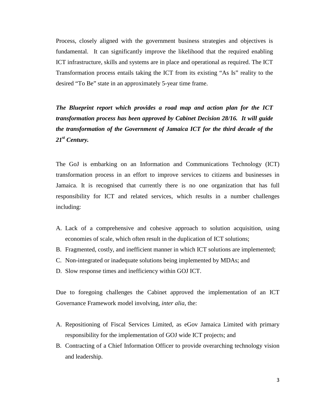Process, closely aligned with the government business strategies and objectives is fundamental. It can significantly improve the likelihood that the required enabling ICT infrastructure, skills and systems are in place and operational as required. The ICT Transformation process entails taking the ICT from its existing "As Is" reality to the desired "To Be" state in an approximately 5-year time frame.

*The Blueprint report which provides a road map and action plan for the ICT transformation process has been approved by Cabinet Decision 28/16. It will guide the transformation of the Government of Jamaica ICT for the third decade of the 21st Century.* 

The GoJ is embarking on an Information and Communications Technology (ICT) transformation process in an effort to improve services to citizens and businesses in Jamaica. It is recognised that currently there is no one organization that has full responsibility for ICT and related services, which results in a number challenges including:

- A. Lack of a comprehensive and cohesive approach to solution acquisition, using economies of scale, which often result in the duplication of ICT solutions;
- B. Fragmented, costly, and inefficient manner in which ICT solutions are implemented;
- C. Non-integrated or inadequate solutions being implemented by MDAs; and
- D. Slow response times and inefficiency within GOJ ICT.

Due to foregoing challenges the Cabinet approved the implementation of an ICT Governance Framework model involving, *inter alia*, the:

- A. Repositioning of Fiscal Services Limited, as eGov Jamaica Limited with primary responsibility for the implementation of GOJ wide ICT projects; and
- B. Contracting of a Chief Information Officer to provide overarching technology vision and leadership.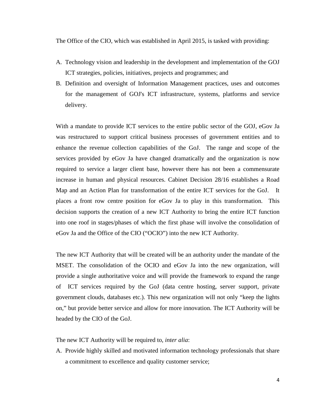The Office of the CIO, which was established in April 2015, is tasked with providing:

- A. Technology vision and leadership in the development and implementation of the GOJ ICT strategies, policies, initiatives, projects and programmes; and
- B. Definition and oversight of Information Management practices, uses and outcomes for the management of GOJ's ICT infrastructure, systems, platforms and service delivery.

With a mandate to provide ICT services to the entire public sector of the GOJ, eGov Ja was restructured to support critical business processes of government entities and to enhance the revenue collection capabilities of the GoJ. The range and scope of the services provided by eGov Ja have changed dramatically and the organization is now required to service a larger client base, however there has not been a commensurate increase in human and physical resources. Cabinet Decision 28/16 establishes a Road Map and an Action Plan for transformation of the entire ICT services for the GoJ. It places a front row centre position for eGov Ja to play in this transformation. This decision supports the creation of a new ICT Authority to bring the entire ICT function into one roof in stages/phases of which the first phase will involve the consolidation of eGov Ja and the Office of the CIO ("OCIO") into the new ICT Authority.

The new ICT Authority that will be created will be an authority under the mandate of the MSET. The consolidation of the OCIO and eGov Ja into the new organization, will provide a single authoritative voice and will provide the framework to expand the range of ICT services required by the GoJ (data centre hosting, server support, private government clouds, databases etc.). This new organization will not only "keep the lights on," but provide better service and allow for more innovation. The ICT Authority will be headed by the CIO of the GoJ.

The new ICT Authority will be required to, *inter alia*:

A. Provide highly skilled and motivated information technology professionals that share a commitment to excellence and quality customer service;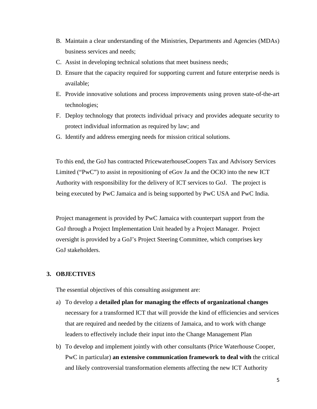- B. Maintain a clear understanding of the Ministries, Departments and Agencies (MDAs) business services and needs;
- C. Assist in developing technical solutions that meet business needs;
- D. Ensure that the capacity required for supporting current and future enterprise needs is available;
- E. Provide innovative solutions and process improvements using proven state-of-the-art technologies;
- F. Deploy technology that protects individual privacy and provides adequate security to protect individual information as required by law; and
- G. Identify and address emerging needs for mission critical solutions.

To this end, the GoJ has contracted PricewaterhouseCoopers Tax and Advisory Services Limited ("PwC") to assist in repositioning of eGov Ja and the OCIO into the new ICT Authority with responsibility for the delivery of ICT services to GoJ. The project is being executed by PwC Jamaica and is being supported by PwC USA and PwC India.

Project management is provided by PwC Jamaica with counterpart support from the GoJ through a Project Implementation Unit headed by a Project Manager. Project oversight is provided by a GoJ's Project Steering Committee, which comprises key GoJ stakeholders.

#### **3. OBJECTIVES**

The essential objectives of this consulting assignment are:

- a) To develop a **detailed plan for managing the effects of organizational changes** necessary for a transformed ICT that will provide the kind of efficiencies and services that are required and needed by the citizens of Jamaica, and to work with change leaders to effectively include their input into the Change Management Plan
- b) To develop and implement jointly with other consultants (Price Waterhouse Cooper, PwC in particular) **an extensive communication framework to deal with** the critical and likely controversial transformation elements affecting the new ICT Authority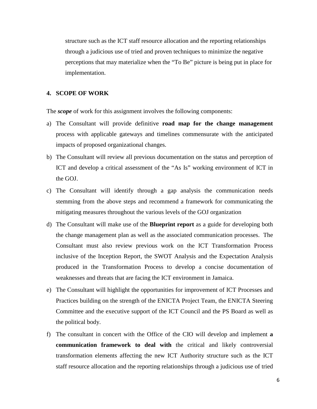structure such as the ICT staff resource allocation and the reporting relationships through a judicious use of tried and proven techniques to minimize the negative perceptions that may materialize when the "To Be" picture is being put in place for implementation.

#### **4. SCOPE OF WORK**

The *scope* of work for this assignment involves the following components:

- a) The Consultant will provide definitive **road map for the change management** process with applicable gateways and timelines commensurate with the anticipated impacts of proposed organizational changes.
- b) The Consultant will review all previous documentation on the status and perception of ICT and develop a critical assessment of the "As Is" working environment of ICT in the GOJ.
- c) The Consultant will identify through a gap analysis the communication needs stemming from the above steps and recommend a framework for communicating the mitigating measures throughout the various levels of the GOJ organization
- d) The Consultant will make use of the **Blueprint report** as a guide for developing both the change management plan as well as the associated communication processes. The Consultant must also review previous work on the ICT Transformation Process inclusive of the Inception Report, the SWOT Analysis and the Expectation Analysis produced in the Transformation Process to develop a concise documentation of weaknesses and threats that are facing the ICT environment in Jamaica.
- e) The Consultant will highlight the opportunities for improvement of ICT Processes and Practices building on the strength of the ENICTA Project Team, the ENICTA Steering Committee and the executive support of the ICT Council and the PS Board as well as the political body.
- f) The consultant in concert with the Office of the CIO will develop and implement **a communication framework to deal with** the critical and likely controversial transformation elements affecting the new ICT Authority structure such as the ICT staff resource allocation and the reporting relationships through a judicious use of tried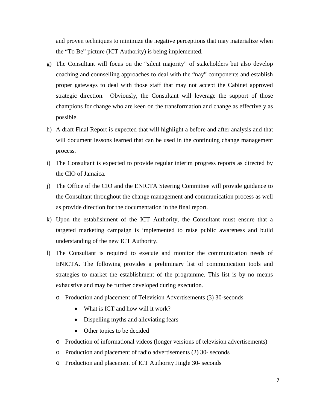and proven techniques to minimize the negative perceptions that may materialize when the "To Be" picture (ICT Authority) is being implemented.

- g) The Consultant will focus on the "silent majority" of stakeholders but also develop coaching and counselling approaches to deal with the "nay" components and establish proper gateways to deal with those staff that may not accept the Cabinet approved strategic direction. Obviously, the Consultant will leverage the support of those champions for change who are keen on the transformation and change as effectively as possible.
- h) A draft Final Report is expected that will highlight a before and after analysis and that will document lessons learned that can be used in the continuing change management process.
- i) The Consultant is expected to provide regular interim progress reports as directed by the CIO of Jamaica.
- j) The Office of the CIO and the ENICTA Steering Committee will provide guidance to the Consultant throughout the change management and communication process as well as provide direction for the documentation in the final report.
- k) Upon the establishment of the ICT Authority, the Consultant must ensure that a targeted marketing campaign is implemented to raise public awareness and build understanding of the new ICT Authority.
- l) The Consultant is required to execute and monitor the communication needs of ENICTA. The following provides a preliminary list of communication tools and strategies to market the establishment of the programme. This list is by no means exhaustive and may be further developed during execution.
	- o Production and placement of Television Advertisements (3) 30-seconds
		- What is ICT and how will it work?
		- Dispelling myths and alleviating fears
		- Other topics to be decided
	- o Production of informational videos (longer versions of television advertisements)
	- o Production and placement of radio advertisements (2) 30- seconds
	- o Production and placement of ICT Authority Jingle 30- seconds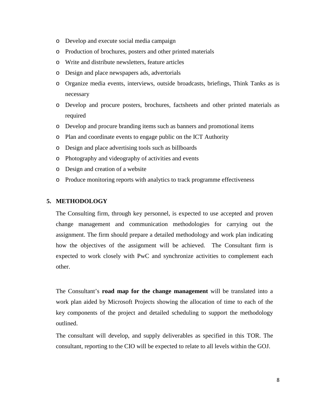- o Develop and execute social media campaign
- o Production of brochures, posters and other printed materials
- o Write and distribute newsletters, feature articles
- o Design and place newspapers ads, advertorials
- o Organize media events, interviews, outside broadcasts, briefings, Think Tanks as is necessary
- o Develop and procure posters, brochures, factsheets and other printed materials as required
- o Develop and procure branding items such as banners and promotional items
- o Plan and coordinate events to engage public on the ICT Authority
- o Design and place advertising tools such as billboards
- o Photography and videography of activities and events
- o Design and creation of a website
- o Produce monitoring reports with analytics to track programme effectiveness

#### **5. METHODOLOGY**

The Consulting firm, through key personnel, is expected to use accepted and proven change management and communication methodologies for carrying out the assignment. The firm should prepare a detailed methodology and work plan indicating how the objectives of the assignment will be achieved. The Consultant firm is expected to work closely with PwC and synchronize activities to complement each other.

The Consultant's **road map for the change management** will be translated into a work plan aided by Microsoft Projects showing the allocation of time to each of the key components of the project and detailed scheduling to support the methodology outlined.

The consultant will develop, and supply deliverables as specified in this TOR. The consultant, reporting to the CIO will be expected to relate to all levels within the GOJ.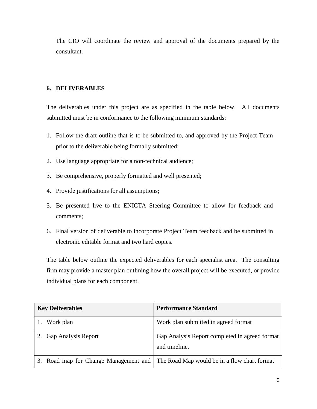The CIO will coordinate the review and approval of the documents prepared by the consultant.

#### **6. DELIVERABLES**

The deliverables under this project are as specified in the table below. All documents submitted must be in conformance to the following minimum standards:

- 1. Follow the draft outline that is to be submitted to, and approved by the Project Team prior to the deliverable being formally submitted;
- 2. Use language appropriate for a non-technical audience;
- 3. Be comprehensive, properly formatted and well presented;
- 4. Provide justifications for all assumptions;
- 5. Be presented live to the ENICTA Steering Committee to allow for feedback and comments;
- 6. Final version of deliverable to incorporate Project Team feedback and be submitted in electronic editable format and two hard copies.

The table below outline the expected deliverables for each specialist area. The consulting firm may provide a master plan outlining how the overall project will be executed, or provide individual plans for each component.

| <b>Key Deliverables</b>    | <b>Performance Standard</b>                                                          |
|----------------------------|--------------------------------------------------------------------------------------|
| 1. Work plan               | Work plan submitted in agreed format                                                 |
| <b>Gap Analysis Report</b> | Gap Analysis Report completed in agreed format<br>and timeline.                      |
|                            | 3. Road map for Change Management and   The Road Map would be in a flow chart format |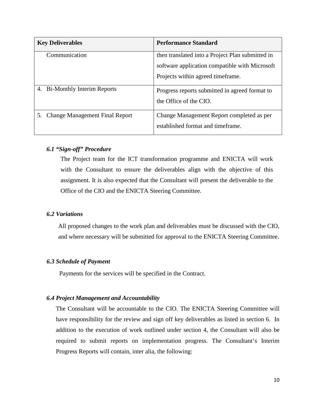| <b>Key Deliverables</b>                 | <b>Performance Standard</b>                                                                        |
|-----------------------------------------|----------------------------------------------------------------------------------------------------|
| Communication                           | then translated into a Project Plan submitted in<br>software application compatible with Microsoft |
|                                         |                                                                                                    |
|                                         | Projects within agreed timeframe.                                                                  |
| <b>Bi-Monthly Interim Reports</b><br>4. | Progress reports submitted in agreed format to                                                     |
|                                         | the Office of the CIO.                                                                             |
| 5. Change Management Final Report       | Change Management Report completed as per                                                          |
|                                         | established format and timeframe.                                                                  |

#### *6.1 "Sign-off" Procedure*

The Project team for the ICT transformation programme and ENICTA will work with the Consultant to ensure the deliverables align with the objective of this assignment. It is also expected that the Consultant will present the deliverable to the Office of the CIO and the ENICTA Steering Committee.

#### *6.2 Variations*

All proposed changes to the work plan and deliverables must be discussed with the CIO, and where necessary will be submitted for approval to the ENICTA Steering Committee.

#### *6.3 Schedule of Payment*

Payments for the services will be specified in the Contract.

#### *6.4 Project Management and Accountability*

The Consultant will be accountable to the CIO. The ENICTA Steering Committee will have responsibility for the review and sign off key deliverables as listed in section 6. In addition to the execution of work outlined under section 4, the Consultant will also be required to submit reports on implementation progress. The Consultant's Interim Progress Reports will contain, inter alia, the following: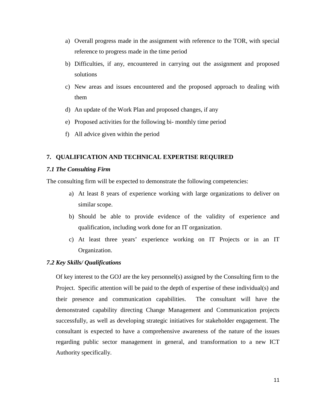- a) Overall progress made in the assignment with reference to the TOR, with special reference to progress made in the time period
- b) Difficulties, if any, encountered in carrying out the assignment and proposed solutions
- c) New areas and issues encountered and the proposed approach to dealing with them
- d) An update of the Work Plan and proposed changes, if any
- e) Proposed activities for the following bi- monthly time period
- f) All advice given within the period

#### **7. QUALIFICATION AND TECHNICAL EXPERTISE REQUIRED**

#### *7.1 The Consulting Firm*

The consulting firm will be expected to demonstrate the following competencies:

- a) At least 8 years of experience working with large organizations to deliver on similar scope.
- b) Should be able to provide evidence of the validity of experience and qualification, including work done for an IT organization.
- c) At least three years' experience working on IT Projects or in an IT Organization.

#### *7.2 Key Skills/ Qualifications*

Of key interest to the GOJ are the key personnel(s) assigned by the Consulting firm to the Project. Specific attention will be paid to the depth of expertise of these individual(s) and their presence and communication capabilities. The consultant will have the demonstrated capability directing Change Management and Communication projects successfully, as well as developing strategic initiatives for stakeholder engagement. The consultant is expected to have a comprehensive awareness of the nature of the issues regarding public sector management in general, and transformation to a new ICT Authority specifically.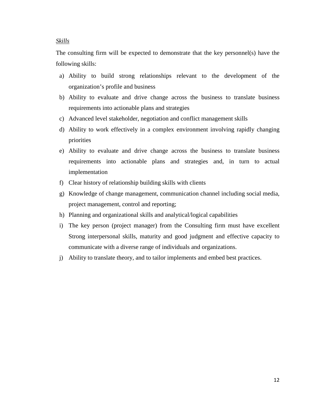#### *Skills*

The consulting firm will be expected to demonstrate that the key personnel(s) have the following skills:

- a) Ability to build strong relationships relevant to the development of the organization's profile and business
- b) Ability to evaluate and drive change across the business to translate business requirements into actionable plans and strategies
- c) Advanced level stakeholder, negotiation and conflict management skills
- d) Ability to work effectively in a complex environment involving rapidly changing priorities
- e) Ability to evaluate and drive change across the business to translate business requirements into actionable plans and strategies and, in turn to actual implementation
- f) Clear history of relationship building skills with clients
- g) Knowledge of change management, communication channel including social media, project management, control and reporting;
- h) Planning and organizational skills and analytical/logical capabilities
- i) The key person (project manager) from the Consulting firm must have excellent Strong interpersonal skills, maturity and good judgment and effective capacity to communicate with a diverse range of individuals and organizations.
- j) Ability to translate theory, and to tailor implements and embed best practices.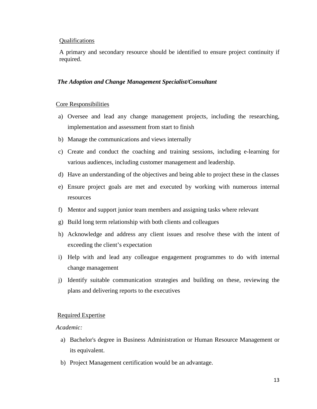#### **Oualifications**

A primary and secondary resource should be identified to ensure project continuity if required.

#### *The Adoption and Change Management Specialist/Consultant*

#### Core Responsibilities

- a) Oversee and lead any change management projects, including the researching, implementation and assessment from start to finish
- b) Manage the communications and views internally
- c) Create and conduct the coaching and training sessions, including e-learning for various audiences, including customer management and leadership.
- d) Have an understanding of the objectives and being able to project these in the classes
- e) Ensure project goals are met and executed by working with numerous internal resources
- f) Mentor and support junior team members and assigning tasks where relevant
- g) Build long term relationship with both clients and colleagues
- h) Acknowledge and address any client issues and resolve these with the intent of exceeding the client's expectation
- i) Help with and lead any colleague engagement programmes to do with internal change management
- j) Identify suitable communication strategies and building on these, reviewing the plans and delivering reports to the executives

#### Required Expertise

#### *Academic:*

- a) Bachelor's degree in Business Administration or Human Resource Management or its equivalent.
- b) Project Management certification would be an advantage.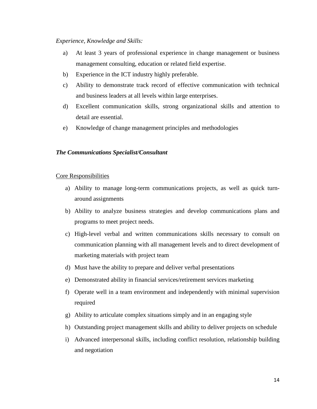#### *Experience, Knowledge and Skills:*

- a) At least 3 years of professional experience in change management or business management consulting, education or related field expertise.
- b) Experience in the ICT industry highly preferable.
- c) Ability to demonstrate track record of effective communication with technical and business leaders at all levels within large enterprises.
- d) Excellent communication skills, strong organizational skills and attention to detail are essential.
- e) Knowledge of change management principles and methodologies

#### *The Communications Specialist/Consultant*

#### Core Responsibilities

- a) Ability to manage long-term communications projects, as well as quick turnaround assignments
- b) Ability to analyze business strategies and develop communications plans and programs to meet project needs.
- c) High-level verbal and written communications skills necessary to consult on communication planning with all management levels and to direct development of marketing materials with project team
- d) Must have the ability to prepare and deliver verbal presentations
- e) Demonstrated ability in financial services/retirement services marketing
- f) Operate well in a team environment and independently with minimal supervision required
- g) Ability to articulate complex situations simply and in an engaging style
- h) Outstanding project management skills and ability to deliver projects on schedule
- i) Advanced interpersonal skills, including conflict resolution, relationship building and negotiation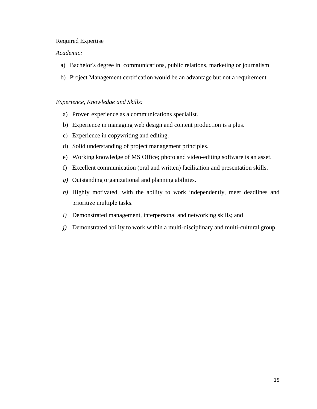#### Required Expertise

#### *Academic:*

- a) Bachelor's degree in communications, public relations, marketing or journalism
- b) Project Management certification would be an advantage but not a requirement

#### *Experience, Knowledge and Skills:*

- a) Proven experience as a communications specialist.
- b) Experience in managing web design and content production is a plus.
- c) Experience in copywriting and editing.
- d) Solid understanding of project management principles.
- e) Working knowledge of MS Office; photo and video-editing software is an asset.
- f) Excellent communication (oral and written) facilitation and presentation skills.
- *g)* Outstanding organizational and planning abilities.
- *h*) Highly motivated, with the ability to work independently, meet deadlines and prioritize multiple tasks.
- *i)* Demonstrated management, interpersonal and networking skills; and
- *j)* Demonstrated ability to work within a multi-disciplinary and multi-cultural group.